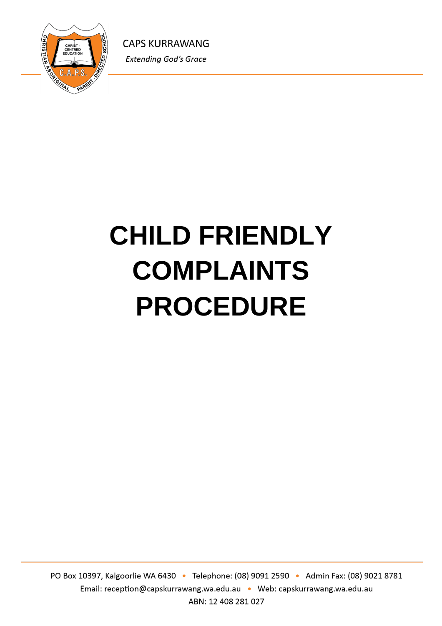

# **CHILD FRIENDLY COMPLAINTS PROCEDURE**

PO Box 10397, Kalgoorlie WA 6430 · Telephone: (08) 9091 2590 · Admin Fax: (08) 9021 8781 Email: reception@capskurrawang.wa.edu.au • Web: capskurrawang.wa.edu.au ABN: 12 408 281 027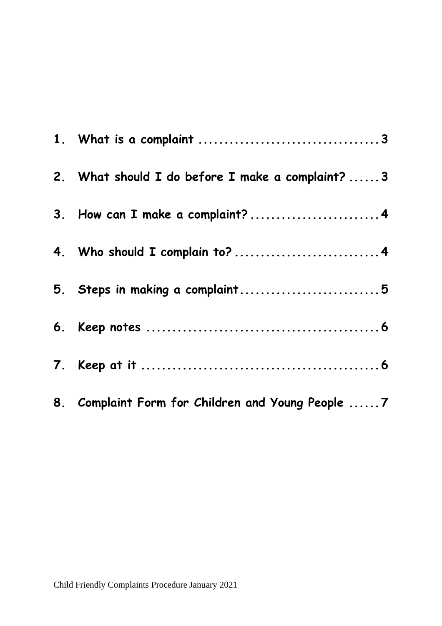| 2. What should I do before I make a complaint?  3 |
|---------------------------------------------------|
| 3. How can I make a complaint?4                   |
| 4. Who should I complain to?  4                   |
| 5. Steps in making a complaint5                   |
|                                                   |
|                                                   |
| 8. Complaint Form for Children and Young People 7 |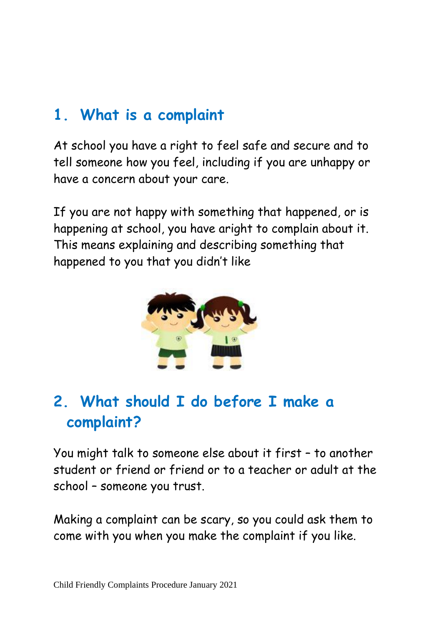## **1. What is a complaint**

At school you have a right to feel safe and secure and to tell someone how you feel, including if you are unhappy or have a concern about your care.

If you are not happy with something that happened, or is happening at school, you have aright to complain about it. This means explaining and describing something that happened to you that you didn't like



## **2. What should I do before I make a complaint?**

You might talk to someone else about it first – to another student or friend or friend or to a teacher or adult at the school – someone you trust.

Making a complaint can be scary, so you could ask them to come with you when you make the complaint if you like.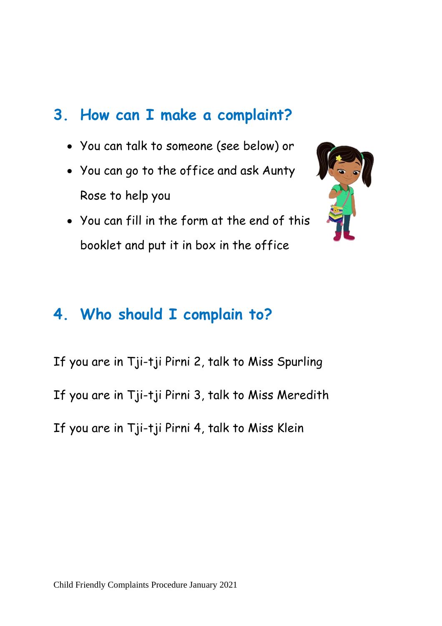## **3. How can I make a complaint?**

- You can talk to someone (see below) or
- You can go to the office and ask Aunty Rose to help you
- You can fill in the form at the end of this booklet and put it in box in the office



## **4. Who should I complain to?**

If you are in Tji-tji Pirni 2, talk to Miss Spurling If you are in Tji-tji Pirni 3, talk to Miss Meredith If you are in Tji-tji Pirni 4, talk to Miss Klein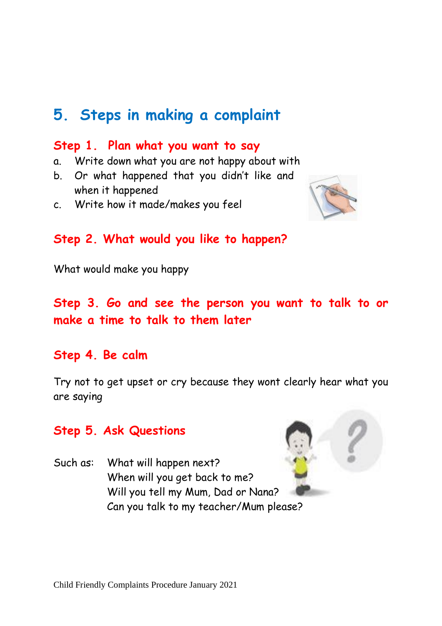## **5. Steps in making a complaint**

#### **Step 1. Plan what you want to say**

- a. Write down what you are not happy about with
- b. Or what happened that you didn't like and when it happened
- c. Write how it made/makes you feel



#### **Step 2. What would you like to happen?**

What would make you happy

## **Step 3. Go and see the person you want to talk to or make a time to talk to them later**

#### **Step 4. Be calm**

Try not to get upset or cry because they wont clearly hear what you are saying

#### **Step 5. Ask Questions**

Such as: What will happen next? When will you get back to me? Will you tell my Mum, Dad or Nana? Can you talk to my teacher/Mum please?

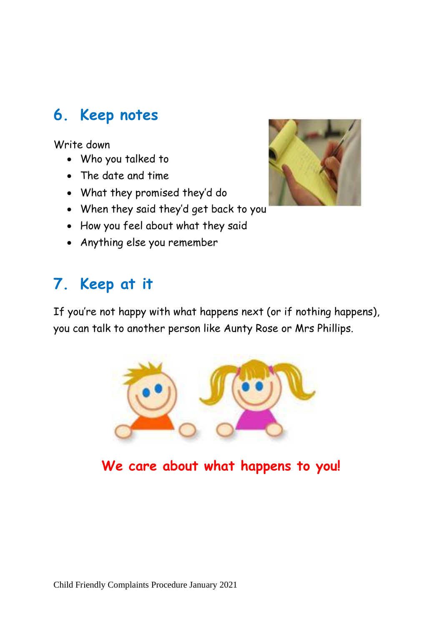## **6. Keep notes**

Write down

- Who you talked to
- The date and time
- What they promised they'd do
- When they said they'd get back to you
- How you feel about what they said
- Anything else you remember

# **7. Keep at it**

If you're not happy with what happens next (or if nothing happens), you can talk to another person like Aunty Rose or Mrs Phillips.



**We care about what happens to you!**